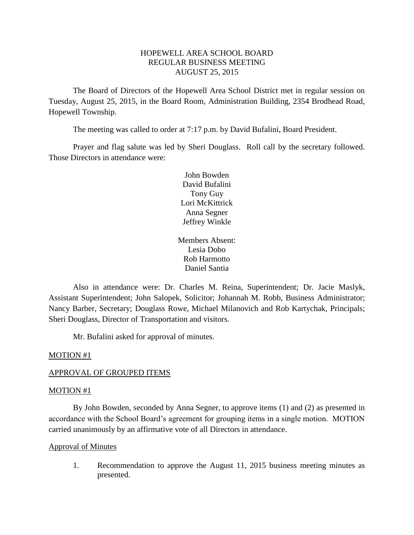## HOPEWELL AREA SCHOOL BOARD REGULAR BUSINESS MEETING AUGUST 25, 2015

The Board of Directors of the Hopewell Area School District met in regular session on Tuesday, August 25, 2015, in the Board Room, Administration Building, 2354 Brodhead Road, Hopewell Township.

The meeting was called to order at 7:17 p.m. by David Bufalini, Board President.

Prayer and flag salute was led by Sheri Douglass. Roll call by the secretary followed. Those Directors in attendance were:

> John Bowden David Bufalini Tony Guy Lori McKittrick Anna Segner Jeffrey Winkle

Members Absent: Lesia Dobo Rob Harmotto Daniel Santia

Also in attendance were: Dr. Charles M. Reina, Superintendent; Dr. Jacie Maslyk, Assistant Superintendent; John Salopek, Solicitor; Johannah M. Robb, Business Administrator; Nancy Barber, Secretary; Douglass Rowe, Michael Milanovich and Rob Kartychak, Principals; Sheri Douglass, Director of Transportation and visitors.

Mr. Bufalini asked for approval of minutes.

### MOTION #1

### APPROVAL OF GROUPED ITEMS

### MOTION #1

By John Bowden, seconded by Anna Segner, to approve items (1) and (2) as presented in accordance with the School Board's agreement for grouping items in a single motion. MOTION carried unanimously by an affirmative vote of all Directors in attendance.

### Approval of Minutes

1. Recommendation to approve the August 11, 2015 business meeting minutes as presented.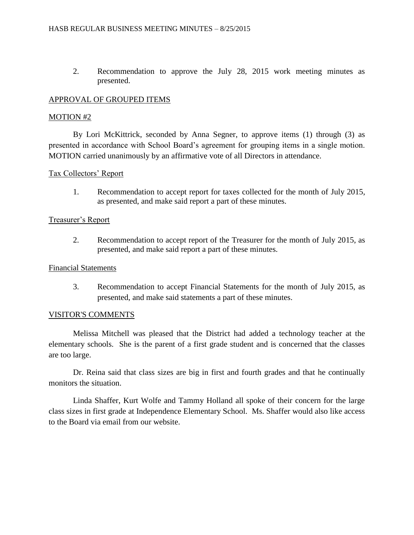2. Recommendation to approve the July 28, 2015 work meeting minutes as presented.

# APPROVAL OF GROUPED ITEMS

# MOTION #2

By Lori McKittrick, seconded by Anna Segner, to approve items (1) through (3) as presented in accordance with School Board's agreement for grouping items in a single motion. MOTION carried unanimously by an affirmative vote of all Directors in attendance.

## Tax Collectors' Report

1. Recommendation to accept report for taxes collected for the month of July 2015, as presented, and make said report a part of these minutes.

# Treasurer's Report

2. Recommendation to accept report of the Treasurer for the month of July 2015, as presented, and make said report a part of these minutes.

## Financial Statements

3. Recommendation to accept Financial Statements for the month of July 2015, as presented, and make said statements a part of these minutes.

# VISITOR'S COMMENTS

Melissa Mitchell was pleased that the District had added a technology teacher at the elementary schools. She is the parent of a first grade student and is concerned that the classes are too large.

Dr. Reina said that class sizes are big in first and fourth grades and that he continually monitors the situation.

Linda Shaffer, Kurt Wolfe and Tammy Holland all spoke of their concern for the large class sizes in first grade at Independence Elementary School. Ms. Shaffer would also like access to the Board via email from our website.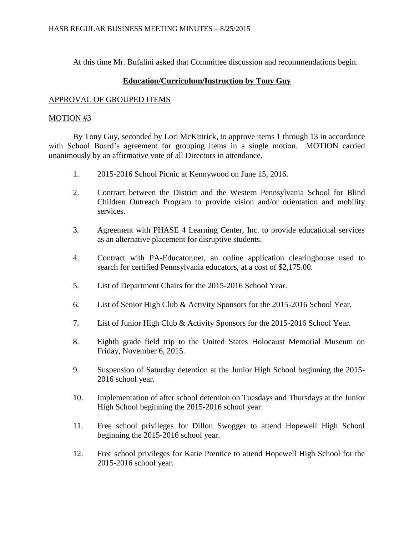At this time Mr. Bufalini asked that Committee discussion and recommendations begin.

# **Education/Curriculum/Instruction by Tony Guy**

## APPROVAL OF GROUPED ITEMS

## MOTION #3

By Tony Guy, seconded by Lori McKittrick, to approve items 1 through 13 in accordance with School Board's agreement for grouping items in a single motion. MOTION carried unanimously by an affirmative vote of all Directors in attendance.

- 1. 2015-2016 School Picnic at Kennywood on June 15, 2016.
- 2. Contract between the District and the Western Pennsylvania School for Blind Children Outreach Program to provide vision and/or orientation and mobility services.
- 3. Agreement with PHASE 4 Learning Center, Inc. to provide educational services as an alternative placement for disruptive students.
- 4. Contract with PA-Educator.net, an online application clearinghouse used to search for certified Pennsylvania educators, at a cost of \$2,175.00.
- 5. List of Department Chairs for the 2015-2016 School Year.
- 6. List of Senior High Club & Activity Sponsors for the 2015-2016 School Year.
- 7. List of Junior High Club & Activity Sponsors for the 2015-2016 School Year.
- 8. Eighth grade field trip to the United States Holocaust Memorial Museum on Friday, November 6, 2015.
- 9. Suspension of Saturday detention at the Junior High School beginning the 2015- 2016 school year.
- 10. Implementation of after school detention on Tuesdays and Thursdays at the Junior High School beginning the 2015-2016 school year.
- 11. Free school privileges for Dillon Swogger to attend Hopewell High School beginning the 2015-2016 school year.
- 12. Free school privileges for Katie Prentice to attend Hopewell High School for the 2015-2016 school year.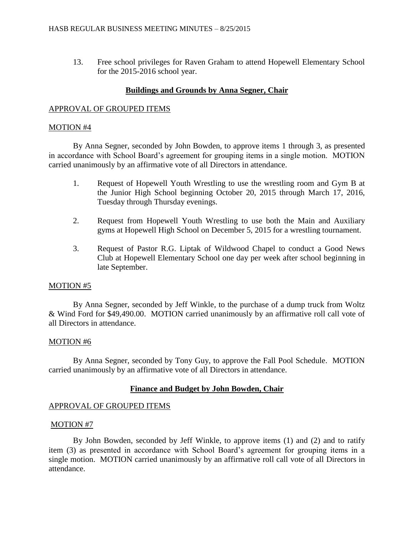13. Free school privileges for Raven Graham to attend Hopewell Elementary School for the 2015-2016 school year.

## **Buildings and Grounds by Anna Segner, Chair**

## APPROVAL OF GROUPED ITEMS

### MOTION #4

By Anna Segner, seconded by John Bowden, to approve items 1 through 3, as presented in accordance with School Board's agreement for grouping items in a single motion. MOTION carried unanimously by an affirmative vote of all Directors in attendance.

- 1. Request of Hopewell Youth Wrestling to use the wrestling room and Gym B at the Junior High School beginning October 20, 2015 through March 17, 2016, Tuesday through Thursday evenings.
- 2. Request from Hopewell Youth Wrestling to use both the Main and Auxiliary gyms at Hopewell High School on December 5, 2015 for a wrestling tournament.
- 3. Request of Pastor R.G. Liptak of Wildwood Chapel to conduct a Good News Club at Hopewell Elementary School one day per week after school beginning in late September.

## MOTION #5

By Anna Segner, seconded by Jeff Winkle, to the purchase of a dump truck from Woltz & Wind Ford for \$49,490.00. MOTION carried unanimously by an affirmative roll call vote of all Directors in attendance.

## MOTION #6

By Anna Segner, seconded by Tony Guy, to approve the Fall Pool Schedule. MOTION carried unanimously by an affirmative vote of all Directors in attendance.

## **Finance and Budget by John Bowden, Chair**

## APPROVAL OF GROUPED ITEMS

### MOTION #7

By John Bowden, seconded by Jeff Winkle, to approve items (1) and (2) and to ratify item (3) as presented in accordance with School Board's agreement for grouping items in a single motion. MOTION carried unanimously by an affirmative roll call vote of all Directors in attendance.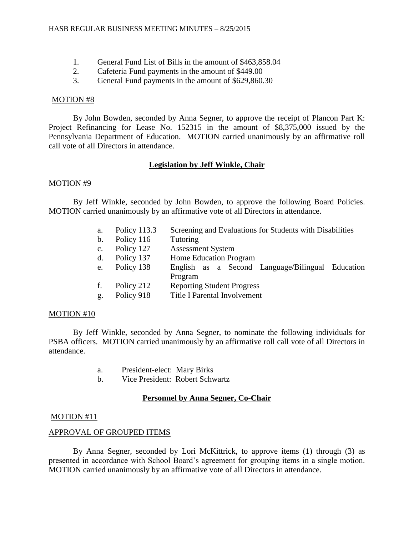- 1. General Fund List of Bills in the amount of \$463,858.04
- 2. Cafeteria Fund payments in the amount of \$449.00
- 3. General Fund payments in the amount of \$629,860.30

By John Bowden, seconded by Anna Segner, to approve the receipt of Plancon Part K: Project Refinancing for Lease No. 152315 in the amount of \$8,375,000 issued by the Pennsylvania Department of Education. MOTION carried unanimously by an affirmative roll call vote of all Directors in attendance.

## **Legislation by Jeff Winkle, Chair**

### MOTION #9

By Jeff Winkle, seconded by John Bowden, to approve the following Board Policies. MOTION carried unanimously by an affirmative vote of all Directors in attendance.

- a. Policy 113.3 Screening and Evaluations for Students with Disabilities
- b. Policy 116 Tutoring
- c. Policy 127 Assessment System
- d. Policy 137 Home Education Program
- e. Policy 138 English as a Second Language/Bilingual Education Program
- f. Policy 212 Reporting Student Progress
- g. Policy 918 Title I Parental Involvement

### MOTION #10

By Jeff Winkle, seconded by Anna Segner, to nominate the following individuals for PSBA officers. MOTION carried unanimously by an affirmative roll call vote of all Directors in attendance.

- a. President-elect: Mary Birks
- b. Vice President: Robert Schwartz

## **Personnel by Anna Segner, Co-Chair**

### MOTION #11

### APPROVAL OF GROUPED ITEMS

By Anna Segner, seconded by Lori McKittrick, to approve items (1) through (3) as presented in accordance with School Board's agreement for grouping items in a single motion. MOTION carried unanimously by an affirmative vote of all Directors in attendance.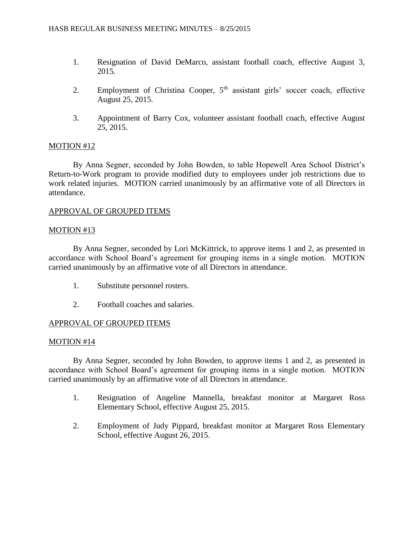- 1. Resignation of David DeMarco, assistant football coach, effective August 3, 2015.
- 2. Employment of Christina Cooper,  $5<sup>th</sup>$  assistant girls' soccer coach, effective August 25, 2015.
- 3. Appointment of Barry Cox, volunteer assistant football coach, effective August 25, 2015.

By Anna Segner, seconded by John Bowden, to table Hopewell Area School District's Return-to-Work program to provide modified duty to employees under job restrictions due to work related injuries. MOTION carried unanimously by an affirmative vote of all Directors in attendance.

# APPROVAL OF GROUPED ITEMS

## MOTION #13

By Anna Segner, seconded by Lori McKittrick, to approve items 1 and 2, as presented in accordance with School Board's agreement for grouping items in a single motion. MOTION carried unanimously by an affirmative vote of all Directors in attendance.

- 1. Substitute personnel rosters.
- 2. Football coaches and salaries.

# APPROVAL OF GROUPED ITEMS

## MOTION #14

By Anna Segner, seconded by John Bowden, to approve items 1 and 2, as presented in accordance with School Board's agreement for grouping items in a single motion. MOTION carried unanimously by an affirmative vote of all Directors in attendance.

- 1. Resignation of Angeline Mannella, breakfast monitor at Margaret Ross Elementary School, effective August 25, 2015.
- 2. Employment of Judy Pippard, breakfast monitor at Margaret Ross Elementary School, effective August 26, 2015.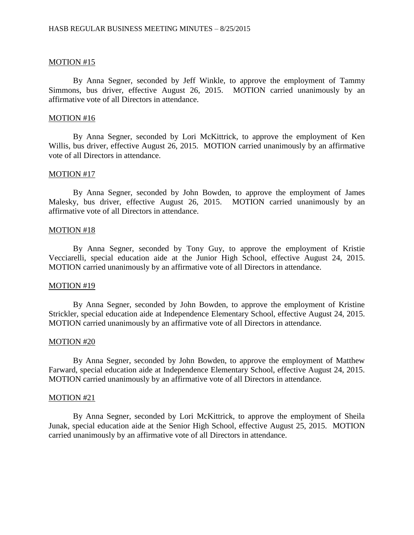By Anna Segner, seconded by Jeff Winkle, to approve the employment of Tammy Simmons, bus driver, effective August 26, 2015. MOTION carried unanimously by an affirmative vote of all Directors in attendance.

#### MOTION #16

By Anna Segner, seconded by Lori McKittrick, to approve the employment of Ken Willis, bus driver, effective August 26, 2015. MOTION carried unanimously by an affirmative vote of all Directors in attendance.

#### MOTION #17

By Anna Segner, seconded by John Bowden, to approve the employment of James Malesky, bus driver, effective August 26, 2015. MOTION carried unanimously by an affirmative vote of all Directors in attendance.

#### MOTION #18

By Anna Segner, seconded by Tony Guy, to approve the employment of Kristie Vecciarelli, special education aide at the Junior High School, effective August 24, 2015. MOTION carried unanimously by an affirmative vote of all Directors in attendance.

#### MOTION #19

By Anna Segner, seconded by John Bowden, to approve the employment of Kristine Strickler, special education aide at Independence Elementary School, effective August 24, 2015. MOTION carried unanimously by an affirmative vote of all Directors in attendance.

#### MOTION #20

By Anna Segner, seconded by John Bowden, to approve the employment of Matthew Farward, special education aide at Independence Elementary School, effective August 24, 2015. MOTION carried unanimously by an affirmative vote of all Directors in attendance.

#### MOTION #21

By Anna Segner, seconded by Lori McKittrick, to approve the employment of Sheila Junak, special education aide at the Senior High School, effective August 25, 2015. MOTION carried unanimously by an affirmative vote of all Directors in attendance.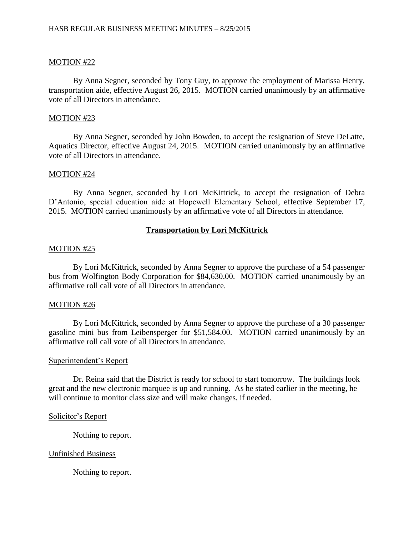By Anna Segner, seconded by Tony Guy, to approve the employment of Marissa Henry, transportation aide, effective August 26, 2015. MOTION carried unanimously by an affirmative vote of all Directors in attendance.

### MOTION #23

By Anna Segner, seconded by John Bowden, to accept the resignation of Steve DeLatte, Aquatics Director, effective August 24, 2015. MOTION carried unanimously by an affirmative vote of all Directors in attendance.

### MOTION #24

By Anna Segner, seconded by Lori McKittrick, to accept the resignation of Debra D'Antonio, special education aide at Hopewell Elementary School, effective September 17, 2015. MOTION carried unanimously by an affirmative vote of all Directors in attendance.

## **Transportation by Lori McKittrick**

#### MOTION #25

By Lori McKittrick, seconded by Anna Segner to approve the purchase of a 54 passenger bus from Wolfington Body Corporation for \$84,630.00. MOTION carried unanimously by an affirmative roll call vote of all Directors in attendance.

## MOTION #26

By Lori McKittrick, seconded by Anna Segner to approve the purchase of a 30 passenger gasoline mini bus from Leibensperger for \$51,584.00. MOTION carried unanimously by an affirmative roll call vote of all Directors in attendance.

### Superintendent's Report

Dr. Reina said that the District is ready for school to start tomorrow. The buildings look great and the new electronic marquee is up and running. As he stated earlier in the meeting, he will continue to monitor class size and will make changes, if needed.

#### Solicitor's Report

Nothing to report.

### Unfinished Business

Nothing to report.